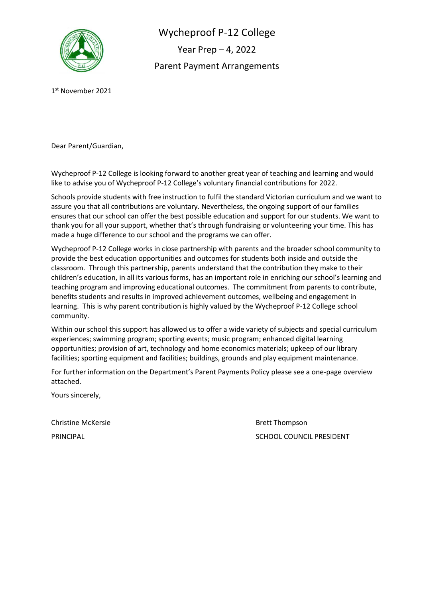

Wycheproof P-12 College Year Prep – 4, 2022 Parent Payment Arrangements

1 st November 2021

Dear Parent/Guardian,

Wycheproof P-12 College is looking forward to another great year of teaching and learning and would like to advise you of Wycheproof P-12 College's voluntary financial contributions for 2022.

Schools provide students with free instruction to fulfil the standard Victorian curriculum and we want to assure you that all contributions are voluntary. Nevertheless, the ongoing support of our families ensures that our school can offer the best possible education and support for our students. We want to thank you for all your support, whether that's through fundraising or volunteering your time. This has made a huge difference to our school and the programs we can offer.

Wycheproof P-12 College works in close partnership with parents and the broader school community to provide the best education opportunities and outcomes for students both inside and outside the classroom. Through this partnership, parents understand that the contribution they make to their children's education, in all its various forms, has an important role in enriching our school's learning and teaching program and improving educational outcomes. The commitment from parents to contribute, benefits students and results in improved achievement outcomes, wellbeing and engagement in learning. This is why parent contribution is highly valued by the Wycheproof P-12 College school community.

Within our school this support has allowed us to offer a wide variety of subjects and special curriculum experiences; swimming program; sporting events; music program; enhanced digital learning opportunities; provision of art, technology and home economics materials; upkeep of our library facilities; sporting equipment and facilities; buildings, grounds and play equipment maintenance.

For further information on the Department's Parent Payments Policy please see a one-page overview attached.

Yours sincerely,

Christine McKersie **Brett Thompson** 

PRINCIPAL **SCHOOL COUNCIL PRESIDENT**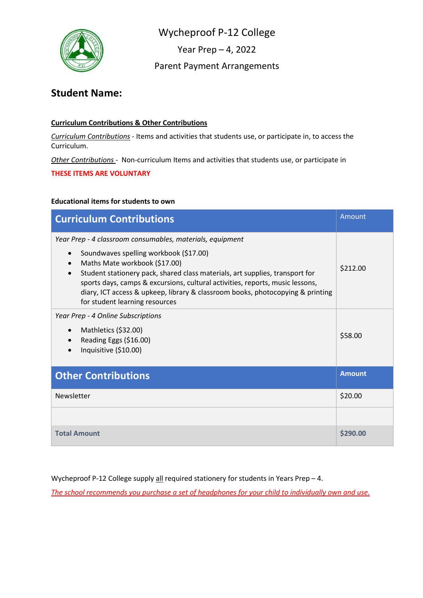

Year Prep – 4, 2022

Parent Payment Arrangements

# **Student Name:**

## **Curriculum Contributions & Other Contributions**

*Curriculum Contributions* - Items and activities that students use, or participate in, to access the Curriculum.

*Other Contributions* - Non-curriculum Items and activities that students use, or participate in

**THESE ITEMS ARE VOLUNTARY**

## **Educational items for students to own**

| <b>Curriculum Contributions</b>                                                                                                                                                                                                                                                                                                                                                                                           | Amount        |
|---------------------------------------------------------------------------------------------------------------------------------------------------------------------------------------------------------------------------------------------------------------------------------------------------------------------------------------------------------------------------------------------------------------------------|---------------|
| Year Prep - 4 classroom consumables, materials, equipment<br>Soundwaves spelling workbook (\$17.00)<br>Maths Mate workbook (\$17.00)<br>Student stationery pack, shared class materials, art supplies, transport for<br>sports days, camps & excursions, cultural activities, reports, music lessons,<br>diary, ICT access & upkeep, library & classroom books, photocopying & printing<br>for student learning resources | \$212.00      |
| Year Prep - 4 Online Subscriptions<br>Mathletics (\$32.00)<br>$\bullet$<br>Reading Eggs (\$16.00)<br>Inquisitive (\$10.00)                                                                                                                                                                                                                                                                                                | \$58.00       |
| <b>Other Contributions</b>                                                                                                                                                                                                                                                                                                                                                                                                | <b>Amount</b> |
| Newsletter                                                                                                                                                                                                                                                                                                                                                                                                                | \$20.00       |
|                                                                                                                                                                                                                                                                                                                                                                                                                           |               |
| <b>Total Amount</b>                                                                                                                                                                                                                                                                                                                                                                                                       | \$290.00      |

Wycheproof P-12 College supply  $all$  required stationery for students in Years Prep – 4.

*The school recommends you purchase a set of headphones for your child to individually own and use.*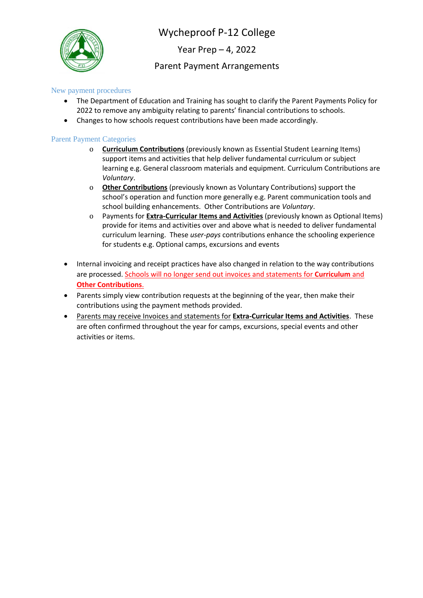

Year Prep – 4, 2022

## Parent Payment Arrangements

### New payment procedures

- The Department of Education and Training has sought to clarify the Parent Payments Policy for 2022 to remove any ambiguity relating to parents' financial contributions to schools.
- Changes to how schools request contributions have been made accordingly.

#### Parent Payment Categories

- o **Curriculum Contributions** (previously known as Essential Student Learning Items) support items and activities that help deliver fundamental curriculum or subject learning e.g. General classroom materials and equipment. Curriculum Contributions are *Voluntary*.
- o **Other Contributions** (previously known as Voluntary Contributions) support the school's operation and function more generally e.g. Parent communication tools and school building enhancements. Other Contributions are *Voluntary*.
- o Payments for **Extra-Curricular Items and Activities** (previously known as Optional Items) provide for items and activities over and above what is needed to deliver fundamental curriculum learning. These *user-pays* contributions enhance the schooling experience for students e.g. Optional camps, excursions and events
- Internal invoicing and receipt practices have also changed in relation to the way contributions are processed. Schools will no longer send out invoices and statements for **Curriculum** and **Other Contributions**.
- Parents simply view contribution requests at the beginning of the year, then make their contributions using the payment methods provided.
- Parents may receive Invoices and statements for **Extra-Curricular Items and Activities**. These are often confirmed throughout the year for camps, excursions, special events and other activities or items.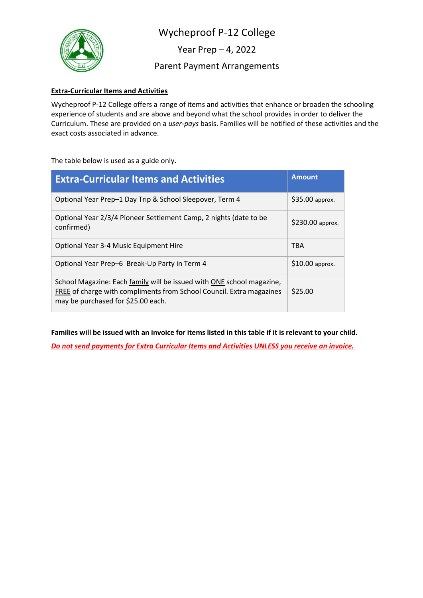

Year Prep – 4, 2022

Parent Payment Arrangements

## **Extra-Curricular Items and Activities**

Wycheproof P-12 College offers a range of items and activities that enhance or broaden the schooling experience of students and are above and beyond what the school provides in order to deliver the Curriculum. These are provided on a *user-pays* basis. Families will be notified of these activities and the exact costs associated in advance.

The table below is used as a guide only.

| <b>Extra-Curricular Items and Activities</b>                                                                                                                                        | <b>Amount</b>    |
|-------------------------------------------------------------------------------------------------------------------------------------------------------------------------------------|------------------|
| Optional Year Prep-1 Day Trip & School Sleepover, Term 4                                                                                                                            | \$35.00 approx.  |
| Optional Year 2/3/4 Pioneer Settlement Camp, 2 nights (date to be<br>confirmed)                                                                                                     | \$230.00 approx. |
| Optional Year 3-4 Music Equipment Hire                                                                                                                                              | TBA              |
| Optional Year Prep-6 Break-Up Party in Term 4                                                                                                                                       | \$10.00 approx.  |
| School Magazine: Each family will be issued with ONE school magazine,<br>FREE of charge with compliments from School Council. Extra magazines<br>may be purchased for \$25.00 each. | \$25.00          |

**Families will be issued with an invoice for items listed in this table if it is relevant to your child.**

*Do not send payments for Extra Curricular Items and Activities UNLESS you receive an invoice.*